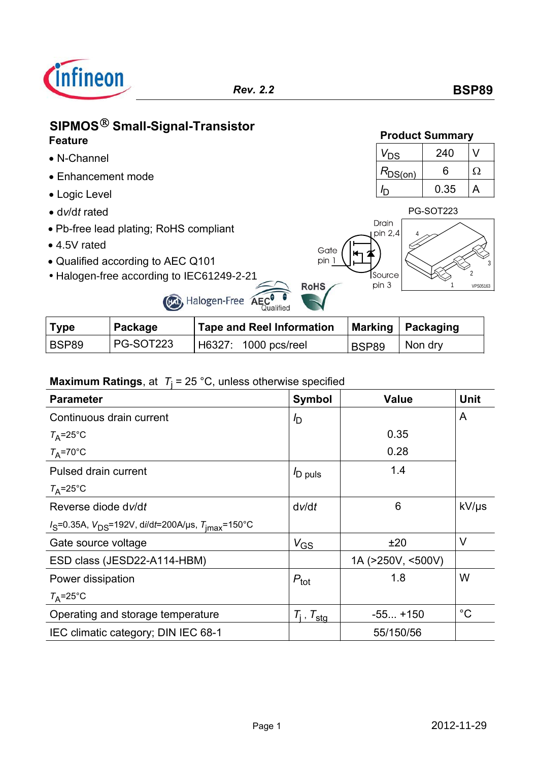

# **SIPMOS**-**Small-Signal-Transistor Product Summary Feature**

- N-Channel
- Enhancement mode
- Logic Level
- 
- Pb-free lead plating; RoHS compliant
- $\bullet$  4.5V rated
- Qualified according to AEC Q101
- Halogen-free according to IEC61249-2-21





| Type  | Package   | <b>Tape and Reel Information</b> |       | Marking   Packaging |
|-------|-----------|----------------------------------|-------|---------------------|
| BSP89 | PG-SOT223 | H6327: 1000 pcs/reel             | BSP89 | Non dry             |

Halogen-Free AECO

# **Maximum Ratings**, at *T*<sup>j</sup> = 25 °C, unless otherwise specified

| <b>Parameter</b>                                               | <b>Symbol</b>            | <b>Value</b>      | <b>Unit</b> |
|----------------------------------------------------------------|--------------------------|-------------------|-------------|
| Continuous drain current                                       | $I_{\mathsf{D}}$         |                   | A           |
| $T_A = 25^{\circ}$ C                                           |                          | 0.35              |             |
| $T_A = 70$ °C                                                  |                          | 0.28              |             |
| Pulsed drain current                                           | <sup>I</sup> D puls      | 1.4               |             |
| $T_A = 25^{\circ}$ C                                           |                          |                   |             |
| Reverse diode dv/dt                                            | dv/dt                    | 6                 | kV/µs       |
| $I_S$ =0.35A, $V_{DS}$ =192V, di/dt=200A/µs, $T_{imax}$ =150°C |                          |                   |             |
| Gate source voltage                                            | $V_{GS}$                 | ±20               | $\vee$      |
| ESD class (JESD22-A114-HBM)                                    |                          | 1A (>250V, <500V) |             |
| Power dissipation                                              | $P_{\text{tot}}$         | 1.8               | W           |
| $T_A = 25^\circ C$                                             |                          |                   |             |
| Operating and storage temperature                              | $T_i$ , $T_{\text{sta}}$ | $-55+150$         | $^{\circ}C$ |
| IEC climatic category; DIN IEC 68-1                            |                          | 55/150/56         |             |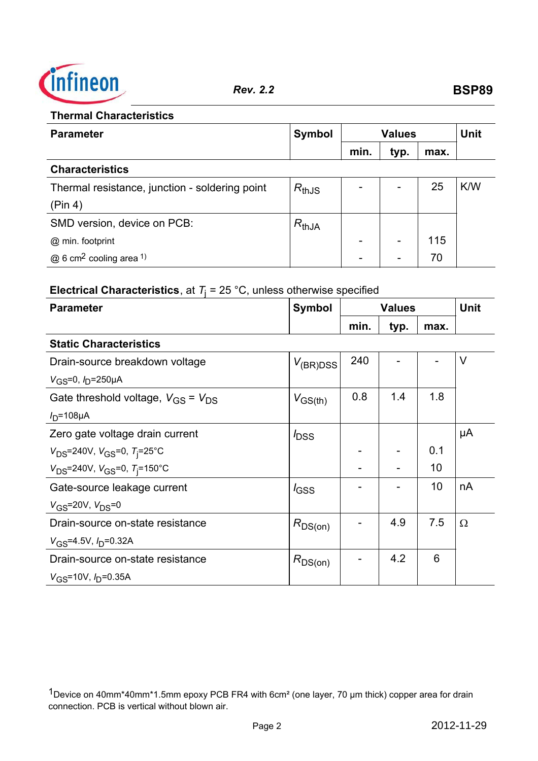

### **Thermal Characteristics**

| <b>Parameter</b>                                | <b>Symbol</b> | <b>Values</b> |                          | <b>Unit</b> |     |
|-------------------------------------------------|---------------|---------------|--------------------------|-------------|-----|
|                                                 |               | min.          | typ.                     | max.        |     |
| <b>Characteristics</b>                          |               |               |                          |             |     |
| Thermal resistance, junction - soldering point  | $R_{thJS}$    |               | $\overline{\phantom{0}}$ | 25          | K/W |
| (Pin 4)                                         |               |               |                          |             |     |
| SMD version, device on PCB:                     | $R_{thJA}$    |               |                          |             |     |
| @ min. footprint                                |               |               | $\overline{\phantom{0}}$ | 115         |     |
| $@6$ cm <sup>2</sup> cooling area <sup>1)</sup> |               |               |                          | 70          |     |

# **Electrical Characteristics**, at  $T_j = 25 \text{ °C}$ , unless otherwise specified

| <b>Parameter</b>                                        | <b>Symbol</b>    | <b>Values</b> |      |      | <b>Unit</b> |
|---------------------------------------------------------|------------------|---------------|------|------|-------------|
|                                                         |                  | min.          | typ. | max. |             |
| <b>Static Characteristics</b>                           |                  |               |      |      |             |
| Drain-source breakdown voltage                          | $V_{(BR)DSS}$    | 240           |      |      | $\vee$      |
| $V$ <sub>GS</sub> =0, $I$ <sub>D</sub> =250 $\mu$ A     |                  |               |      |      |             |
| Gate threshold voltage, $V_{\text{GS}} = V_{\text{DS}}$ | $V_{GS(th)}$     | 0.8           | 1.4  | 1.8  |             |
| $ID=108\mu A$                                           |                  |               |      |      |             |
| Zero gate voltage drain current                         | $I_{\text{DSS}}$ |               |      |      | μA          |
| $V_{DS}$ =240V, $V_{GS}$ =0, $T$ <sub>j</sub> =25°C     |                  |               |      | 0.1  |             |
| $V_{DS}$ =240V, $V_{GS}$ =0, $T_{i}$ =150°C             |                  |               |      | 10   |             |
| Gate-source leakage current                             | $I_{\text{GSS}}$ |               |      | 10   | nA          |
| $V_{GS}$ =20V, $V_{DS}$ =0                              |                  |               |      |      |             |
| Drain-source on-state resistance                        | $R_{DS(on)}$     |               | 4.9  | 7.5  | Ω           |
| $V_{\rm GS}$ =4.5V, $I_{\rm D}$ =0.32A                  |                  |               |      |      |             |
| Drain-source on-state resistance                        | $R_{DS(on)}$     |               | 4.2  | 6    |             |
| $V_{\rm GS}$ =10V, $I_{\rm D}$ =0.35A                   |                  |               |      |      |             |

1Device on 40mm\*40mm\*1.5mm epoxy PCB FR4 with 6cm² (one layer, 70 µm thick) copper area for drain connection. PCB is vertical without blown air.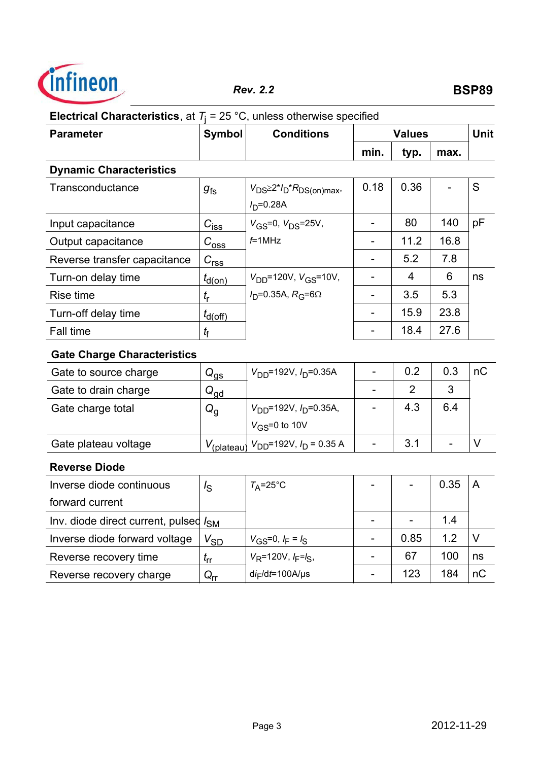

# **Electrical Characteristics**, at  $T_j = 25 \text{ °C}$ , unless otherwise specified

| <b>Parameter</b>                                  | <b>Symbol</b>                 | <b>Conditions</b>                                            | <b>Values</b>            |                |      | Unit   |
|---------------------------------------------------|-------------------------------|--------------------------------------------------------------|--------------------------|----------------|------|--------|
|                                                   |                               |                                                              | min.                     | typ.           | max. |        |
| <b>Dynamic Characteristics</b>                    |                               |                                                              |                          |                |      |        |
| Transconductance                                  | $g_{fs}$                      | $V_{DS} \geq 2^{*}I_D{}^{*}R_{DS(on)max}$<br>$I_{D} = 0.28A$ | 0.18                     | 0.36           |      | S      |
| Input capacitance                                 | $C_{\underline{\text{iss}}}$  | $V_{GS} = 0, V_{DS} = 25V,$                                  | $\overline{a}$           | 80             | 140  | pF     |
| Output capacitance                                | $C_{\rm{oss}}$                | $f=1$ MHz                                                    | $\overline{\phantom{0}}$ | 11.2           | 16.8 |        |
| Reverse transfer capacitance                      | $C_{\underline{rss}}$         |                                                              | $\overline{a}$           | 5.2            | 7.8  |        |
| Turn-on delay time                                | $t_{d(0n)}$                   | $V_{DD}$ =120V, $V_{GS}$ =10V,                               | $\overline{\phantom{a}}$ | 4              | 6    | ns     |
| Rise time                                         | $t_{\rm r}$                   | $ID=0.35A, RG=6\Omega$                                       | $\overline{\phantom{a}}$ | 3.5            | 5.3  |        |
| Turn-off delay time                               | $t_{\text{d(off)}}$           |                                                              | $\overline{\phantom{a}}$ | 15.9           | 23.8 |        |
| Fall time                                         | $t_{\mathsf{f}}$              |                                                              | $\overline{a}$           | 18.4           | 27.6 |        |
| <b>Gate Charge Characteristics</b>                |                               |                                                              |                          |                |      |        |
| Gate to source charge                             | $Q_{\underline{\mathrm{QS}}}$ | $V_{DD}$ =192V, $I_D$ =0.35A                                 | $\overline{\phantom{m}}$ | 0.2            | 0.3  | nC     |
| Gate to drain charge                              | $Q_{\underline{gd}}$          |                                                              |                          | $\overline{2}$ | 3    |        |
| Gate charge total                                 | $Q_{\rm g}$                   | $V_{DD}$ =192V, $I_D$ =0.35A,                                |                          | 4.3            | 6.4  |        |
|                                                   |                               | $V$ <sub>GS</sub> =0 to 10V                                  |                          |                |      |        |
| Gate plateau voltage                              | $V_{(\text{plateau})}$        | $V_{DD}$ =192V, $I_D$ = 0.35 A                               | $\overline{\phantom{0}}$ | 3.1            |      | $\vee$ |
| <b>Reverse Diode</b>                              |                               |                                                              |                          |                |      |        |
| Inverse diode continuous                          | $I_{\rm S}$                   | $T_A = 25$ °C                                                |                          |                | 0.35 | A      |
| forward current                                   |                               |                                                              |                          |                |      |        |
| Inv. diode direct current, pulsed I <sub>SM</sub> |                               |                                                              | $\overline{\phantom{a}}$ |                | 1.4  |        |
| Inverse diode forward voltage                     | $V_{SD}$                      | $V_{GS} = 0, I_F = I_S$                                      | $\blacksquare$           | 0.85           | 1.2  | V      |
| Reverse recovery time                             | $t_{\rm rr}$                  | $V_R$ =120V, $I_F = I_S$ ,                                   | $\qquad \qquad -$        | 67             | 100  | ns     |
| Reverse recovery charge                           | $Q_{rr}$                      | $di_F/dt = 100A/\mu s$                                       |                          | 123            | 184  | nC     |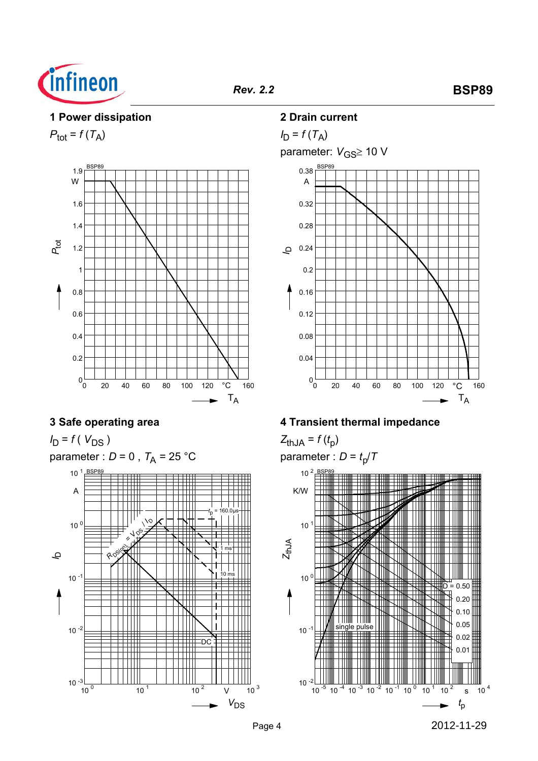

#### **1 Power dissipation**

 $P_{\text{tot}} = f(T_A)$ 



# **3 Safe operating area**

*I*<sub>D</sub> = *f* ( *V*<sub>DS</sub> ) parameter :  $D = 0$ ,  $T_A = 25$  °C 10 <sup>0</sup> 10 <sup>1</sup> 10 <sup>2</sup> 10 <sup>3</sup>  $V_{DS}$  $\frac{10^{-3} \text{ m}}{10^{0}}$  $10^{-2}$  $10^{-1}$  $10<sup>0</sup>$ 10<sup>1</sup> BSP89 A *<sup>I</sup>*<sup>D</sup> **RDS** / *<sup>I</sup>* DDC  $10$  1 ms *t*  $_p$  = 160.0 $\mu$ s

### **2 Drain current**



## **4 Transient thermal impedance**

 $Z_{thJA} = f(t_p)$ parameter :  $D = t_p/T$ 

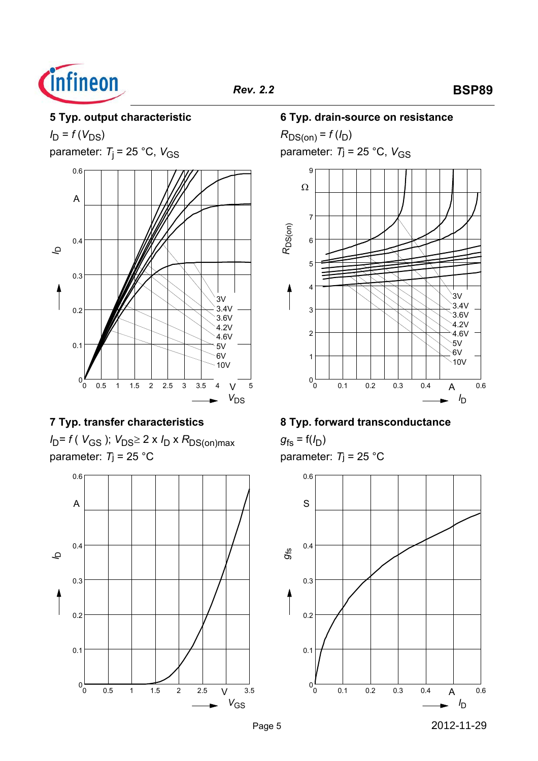

# **5 Typ. output characteristic**

 $I_D = f(V_{DS})$ 

parameter:  $T_i = 25 \degree C$ ,  $V_{GS}$ 



## **7 Typ. transfer characteristics**

*I*<sub>D</sub>= *f* (*V*<sub>GS</sub> ); *V*<sub>DS</sub>≥ 2 x *I*<sub>D</sub> x *R*<sub>DS(on)max</sub> parameter: *T*j = 25 °C



### **6 Typ. drain-source on resistance**

 $R_{DS(on)} = f(l_D)$ parameter:  $T_j = 25 °C$ ,  $V_{GS}$ 



## **8 Typ. forward transconductance**

 $g_{fs} = f(I_D)$ parameter: *T*j = 25 °C

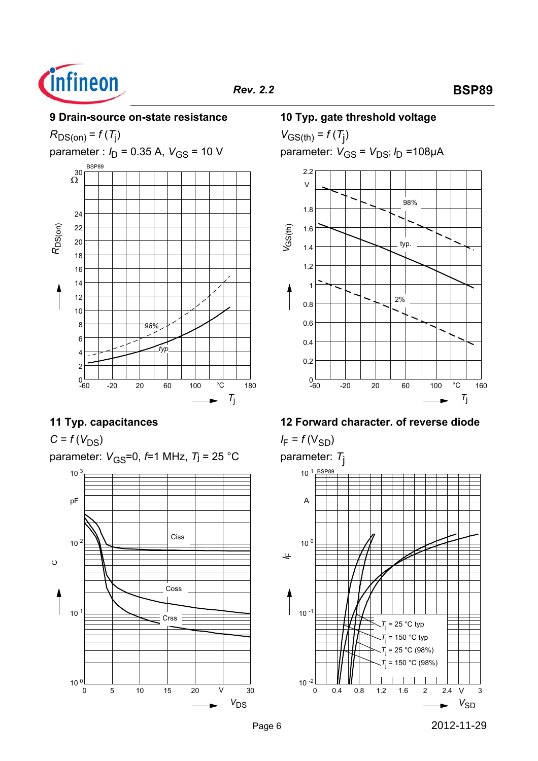

# *Rev. 2.2* **BSP89**

### **9 Drain-source on-state resistance**



## **11 Typ. capacitances**

 $C = f(V_{DS})$ 

parameter:  $V_{\text{GS}}=0$ ,  $f=1$  MHz,  $T$ j = 25 °C



### **10 Typ. gate threshold voltage**

 $V_{GS(th)} = f(T_{j})$ parameter: *V<sub>GS</sub>* = *V<sub>DS</sub>; I<sub>D</sub>* =108µA



## **12 Forward character. of reverse diode**

 $I_F = f(V_{SD})$ 

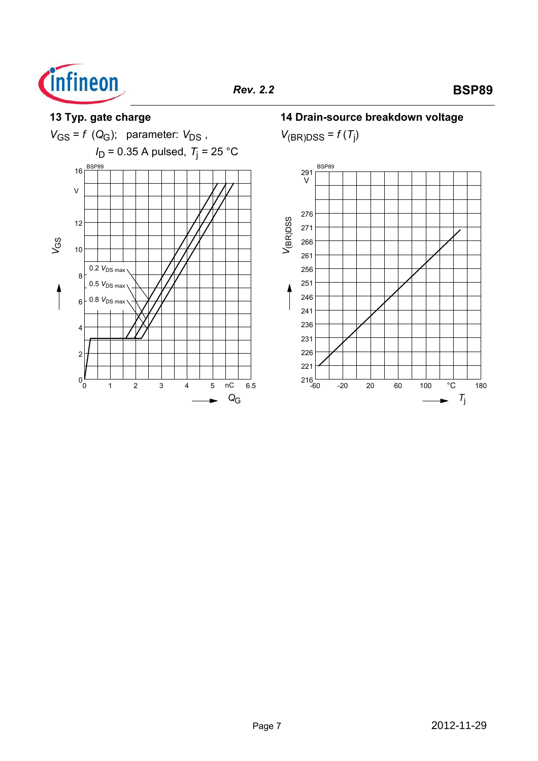



**14 Drain-source breakdown voltage**

 $V_{\text{(BR)DSS}} = f(T_j)$